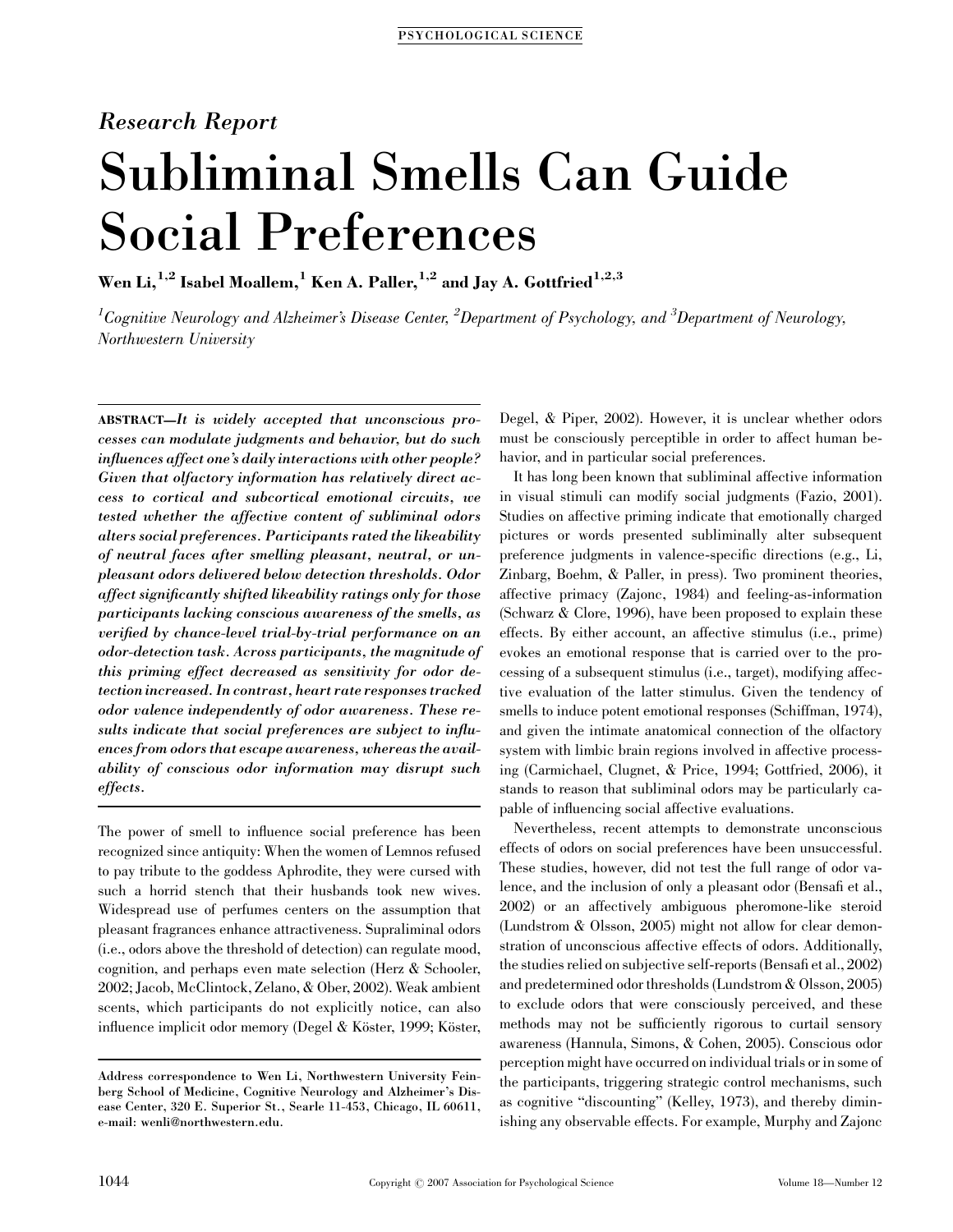# Research Report

# Subliminal Smells Can Guide Social Preferences

Wen Li,<sup>1,2</sup> Isabel Moallem,<sup>1</sup> Ken A. Paller,<sup>1,2</sup> and Jay A. Gottfried<sup>1,2,3</sup>

 $^1$ Cognitive Neurology and Alzheimer's Disease Center,  $^2$ Department of Psychology, and  $^3$ Department of Neurology, Northwestern University

ABSTRACT—It is widely accepted that unconscious processes can modulate judgments and behavior, but do such influences affect one's daily interactions with other people? Given that olfactory information has relatively direct access to cortical and subcortical emotional circuits, we tested whether the affective content of subliminal odors alters social preferences. Participants rated the likeability of neutral faces after smelling pleasant, neutral, or unpleasant odors delivered below detection thresholds. Odor affect significantly shifted likeability ratings only for those participants lacking conscious awareness of the smells, as verified by chance-level trial-by-trial performance on an odor-detection task. Across participants, the magnitude of this priming effect decreased as sensitivity for odor detection increased. In contrast, heart rate responses tracked odor valence independently of odor awareness. These results indicate that social preferences are subject to influences from odors that escape awareness, whereas the availability of conscious odor information may disrupt such effects.

The power of smell to influence social preference has been recognized since antiquity: When the women of Lemnos refused to pay tribute to the goddess Aphrodite, they were cursed with such a horrid stench that their husbands took new wives. Widespread use of perfumes centers on the assumption that pleasant fragrances enhance attractiveness. Supraliminal odors (i.e., odors above the threshold of detection) can regulate mood, cognition, and perhaps even mate selection (Herz & Schooler, 2002; Jacob, McClintock, Zelano, & Ober, 2002). Weak ambient scents, which participants do not explicitly notice, can also influence implicit odor memory (Degel & Köster, 1999; Köster,

Degel, & Piper, 2002). However, it is unclear whether odors must be consciously perceptible in order to affect human behavior, and in particular social preferences.

It has long been known that subliminal affective information in visual stimuli can modify social judgments (Fazio, 2001). Studies on affective priming indicate that emotionally charged pictures or words presented subliminally alter subsequent preference judgments in valence-specific directions (e.g., Li, Zinbarg, Boehm, & Paller, in press). Two prominent theories, affective primacy (Zajonc, 1984) and feeling-as-information (Schwarz & Clore, 1996), have been proposed to explain these effects. By either account, an affective stimulus (i.e., prime) evokes an emotional response that is carried over to the processing of a subsequent stimulus (i.e., target), modifying affective evaluation of the latter stimulus. Given the tendency of smells to induce potent emotional responses (Schiffman, 1974), and given the intimate anatomical connection of the olfactory system with limbic brain regions involved in affective processing (Carmichael, Clugnet, & Price, 1994; Gottfried, 2006), it stands to reason that subliminal odors may be particularly capable of influencing social affective evaluations.

Nevertheless, recent attempts to demonstrate unconscious effects of odors on social preferences have been unsuccessful. These studies, however, did not test the full range of odor valence, and the inclusion of only a pleasant odor (Bensafi et al., 2002) or an affectively ambiguous pheromone-like steroid (Lundstrom & Olsson, 2005) might not allow for clear demonstration of unconscious affective effects of odors. Additionally, the studies relied on subjective self-reports (Bensafi et al., 2002) and predetermined odor thresholds (Lundstrom & Olsson, 2005) to exclude odors that were consciously perceived, and these methods may not be sufficiently rigorous to curtail sensory awareness (Hannula, Simons, & Cohen, 2005). Conscious odor perception might have occurred on individual trials or in some of the participants, triggering strategic control mechanisms, such as cognitive "discounting" (Kelley, 1973), and thereby diminishing any observable effects. For example, Murphy and Zajonc

Address correspondence to Wen Li, Northwestern University Feinberg School of Medicine, Cognitive Neurology and Alzheimer's Disease Center, 320 E. Superior St., Searle 11-453, Chicago, IL 60611, e-mail: wenli@northwestern.edu.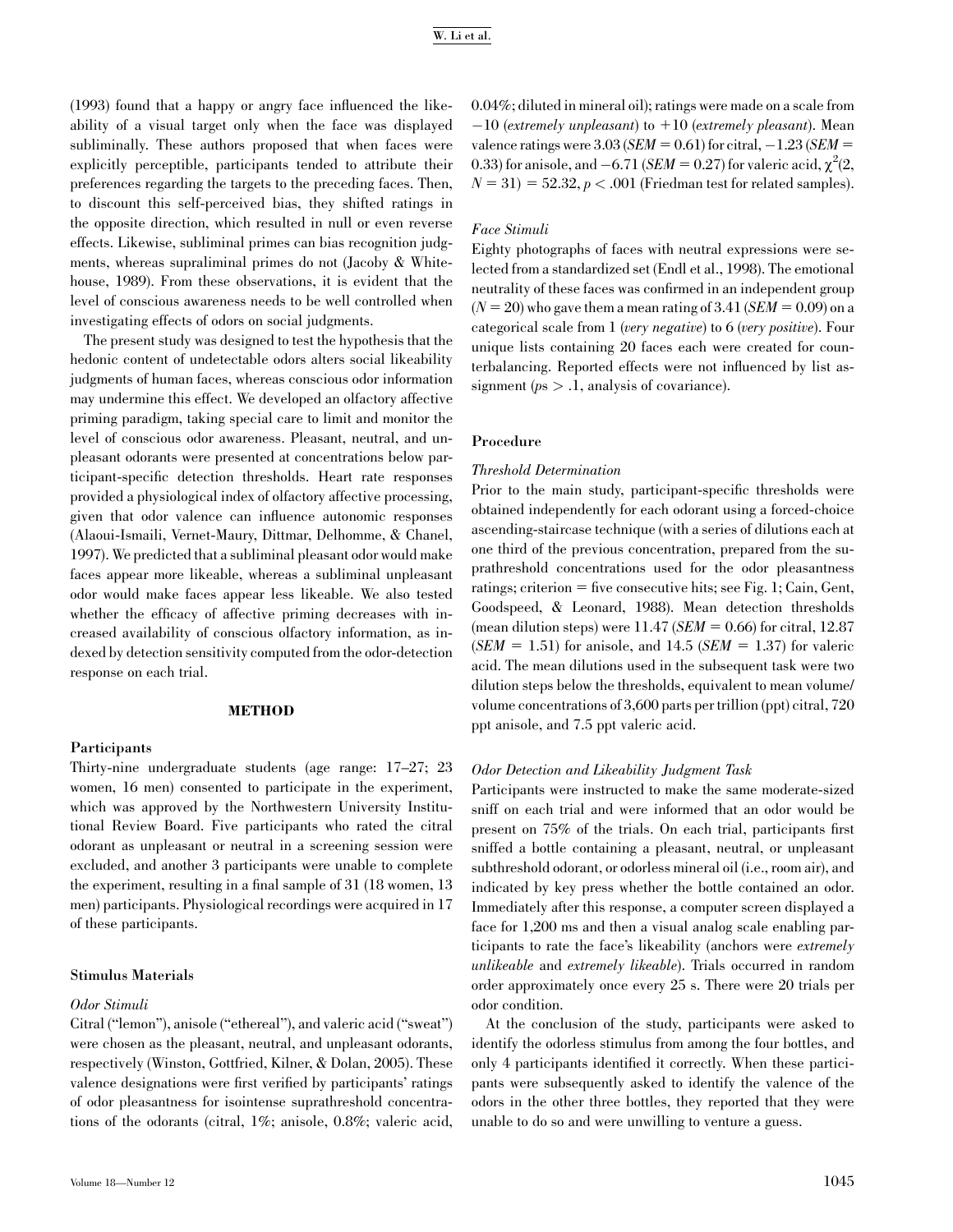# W. Li et al.

(1993) found that a happy or angry face influenced the likeability of a visual target only when the face was displayed subliminally. These authors proposed that when faces were explicitly perceptible, participants tended to attribute their preferences regarding the targets to the preceding faces. Then, to discount this self-perceived bias, they shifted ratings in the opposite direction, which resulted in null or even reverse effects. Likewise, subliminal primes can bias recognition judgments, whereas supraliminal primes do not (Jacoby & Whitehouse, 1989). From these observations, it is evident that the level of conscious awareness needs to be well controlled when investigating effects of odors on social judgments.

The present study was designed to test the hypothesis that the hedonic content of undetectable odors alters social likeability judgments of human faces, whereas conscious odor information may undermine this effect. We developed an olfactory affective priming paradigm, taking special care to limit and monitor the level of conscious odor awareness. Pleasant, neutral, and unpleasant odorants were presented at concentrations below participant-specific detection thresholds. Heart rate responses provided a physiological index of olfactory affective processing, given that odor valence can influence autonomic responses (Alaoui-Ismaili, Vernet-Maury, Dittmar, Delhomme, & Chanel, 1997). We predicted that a subliminal pleasant odor would make faces appear more likeable, whereas a subliminal unpleasant odor would make faces appear less likeable. We also tested whether the efficacy of affective priming decreases with increased availability of conscious olfactory information, as indexed by detection sensitivity computed from the odor-detection response on each trial.

## METHOD

## Participants

Thirty-nine undergraduate students (age range: 17–27; 23 women, 16 men) consented to participate in the experiment, which was approved by the Northwestern University Institutional Review Board. Five participants who rated the citral odorant as unpleasant or neutral in a screening session were excluded, and another 3 participants were unable to complete the experiment, resulting in a final sample of 31 (18 women, 13 men) participants. Physiological recordings were acquired in 17 of these participants.

# Stimulus Materials

# Odor Stimuli

Citral (''lemon''), anisole (''ethereal''), and valeric acid (''sweat'') were chosen as the pleasant, neutral, and unpleasant odorants, respectively (Winston, Gottfried, Kilner, & Dolan, 2005). These valence designations were first verified by participants' ratings of odor pleasantness for isointense suprathreshold concentrations of the odorants (citral, 1%; anisole, 0.8%; valeric acid, 0.04%; diluted in mineral oil); ratings were made on a scale from  $-10$  (extremely unpleasant) to  $+10$  (extremely pleasant). Mean valence ratings were  $3.03$  (SEM = 0.61) for citral,  $-1.23$  (SEM = 0.33) for anisole, and  $-6.71$  (*SEM* = 0.27) for valeric acid,  $\chi^2$ (2,  $N = 31$ ) = 52.32,  $p < .001$  (Friedman test for related samples).

# Face Stimuli

Eighty photographs of faces with neutral expressions were selected from a standardized set (Endl et al., 1998). The emotional neutrality of these faces was confirmed in an independent group  $(N = 20)$  who gave them a mean rating of 3.41 (SEM = 0.09) on a categorical scale from 1 (very negative) to 6 (very positive). Four unique lists containing 20 faces each were created for counterbalancing. Reported effects were not influenced by list assignment ( $ps > 0.1$ , analysis of covariance).

#### Procedure

#### Threshold Determination

Prior to the main study, participant-specific thresholds were obtained independently for each odorant using a forced-choice ascending-staircase technique (with a series of dilutions each at one third of the previous concentration, prepared from the suprathreshold concentrations used for the odor pleasantness ratings; criterion  $=$  five consecutive hits; see Fig. 1; Cain, Gent, Goodspeed, & Leonard, 1988). Mean detection thresholds (mean dilution steps) were  $11.47$  (*SEM* = 0.66) for citral, 12.87 (SEM = 1.51) for anisole, and 14.5 (SEM = 1.37) for valeric acid. The mean dilutions used in the subsequent task were two dilution steps below the thresholds, equivalent to mean volume/ volume concentrations of 3,600 parts per trillion (ppt) citral, 720 ppt anisole, and 7.5 ppt valeric acid.

# Odor Detection and Likeability Judgment Task

Participants were instructed to make the same moderate-sized sniff on each trial and were informed that an odor would be present on 75% of the trials. On each trial, participants first sniffed a bottle containing a pleasant, neutral, or unpleasant subthreshold odorant, or odorless mineral oil (i.e., room air), and indicated by key press whether the bottle contained an odor. Immediately after this response, a computer screen displayed a face for 1,200 ms and then a visual analog scale enabling participants to rate the face's likeability (anchors were extremely unlikeable and extremely likeable). Trials occurred in random order approximately once every 25 s. There were 20 trials per odor condition.

At the conclusion of the study, participants were asked to identify the odorless stimulus from among the four bottles, and only 4 participants identified it correctly. When these participants were subsequently asked to identify the valence of the odors in the other three bottles, they reported that they were unable to do so and were unwilling to venture a guess.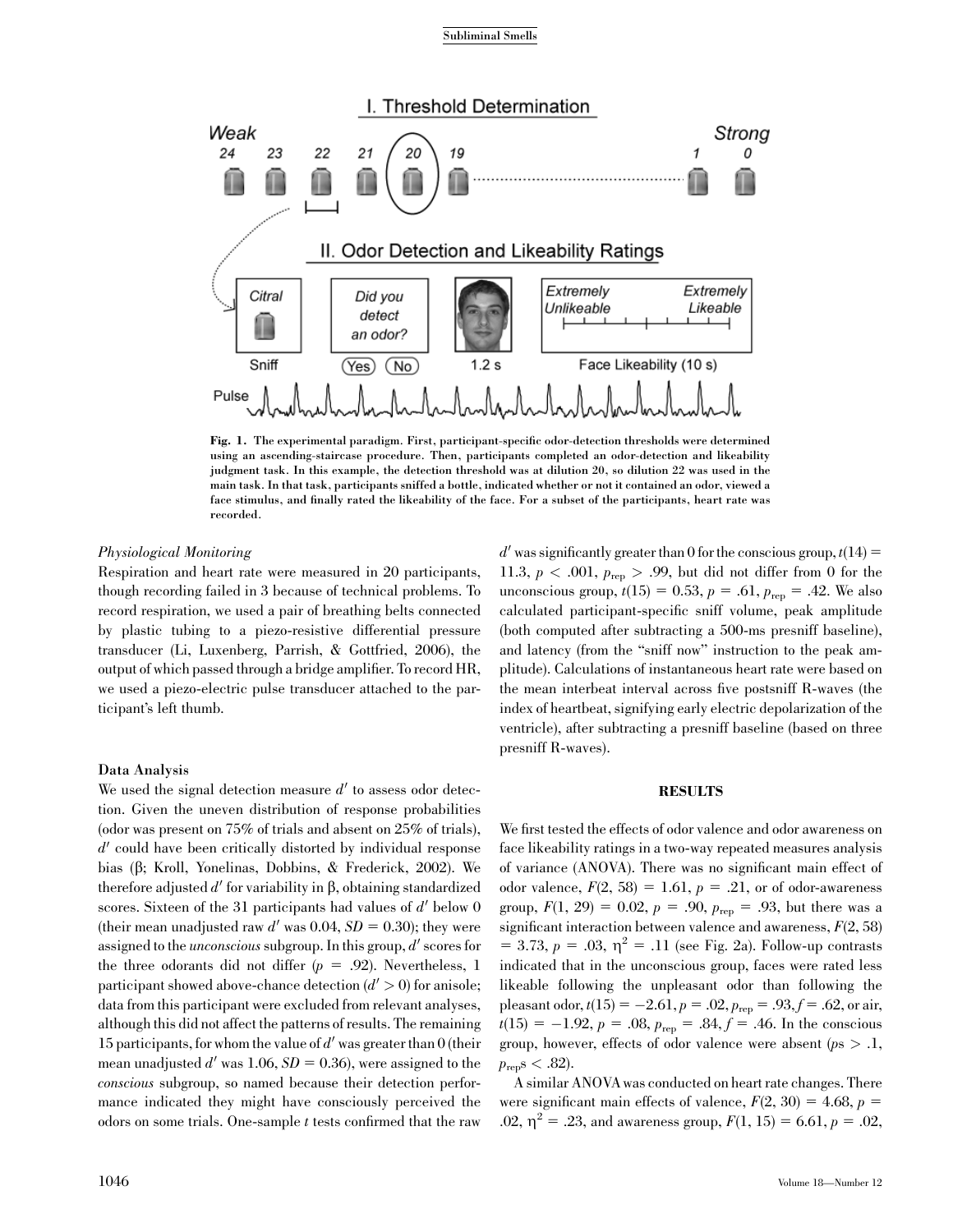#### Subliminal Smells



Fig. 1. The experimental paradigm. First, participant-specific odor-detection thresholds were determined using an ascending-staircase procedure. Then, participants completed an odor-detection and likeability judgment task. In this example, the detection threshold was at dilution 20, so dilution 22 was used in the main task. In that task, participants sniffed a bottle, indicated whether or not it contained an odor, viewed a face stimulus, and finally rated the likeability of the face. For a subset of the participants, heart rate was recorded.

# Physiological Monitoring

Respiration and heart rate were measured in 20 participants, though recording failed in 3 because of technical problems. To record respiration, we used a pair of breathing belts connected by plastic tubing to a piezo-resistive differential pressure transducer (Li, Luxenberg, Parrish, & Gottfried, 2006), the output of which passed through a bridge amplifier. To record HR, we used a piezo-electric pulse transducer attached to the participant's left thumb.

# Data Analysis

We used the signal detection measure  $d'$  to assess odor detection. Given the uneven distribution of response probabilities (odor was present on 75% of trials and absent on 25% of trials),  $d'$  could have been critically distorted by individual response bias (b; Kroll, Yonelinas, Dobbins, & Frederick, 2002). We therefore adjusted  $d'$  for variability in  $\beta$ , obtaining standardized scores. Sixteen of the 31 participants had values of  $d'$  below 0 (their mean unadjusted raw d' was 0.04,  $SD = 0.30$ ); they were assigned to the *unconscious* subgroup. In this group,  $d'$  scores for the three odorants did not differ  $(p = .92)$ . Nevertheless, 1 participant showed above-chance detection  $(d' > 0)$  for anisole; data from this participant were excluded from relevant analyses, although this did not affect the patterns of results. The remaining 15 participants, for whom the value of  $d'$  was greater than 0 (their mean unadjusted d' was 1.06,  $SD = 0.36$ ), were assigned to the conscious subgroup, so named because their detection performance indicated they might have consciously perceived the odors on some trials. One-sample t tests confirmed that the raw d' was significantly greater than 0 for the conscious group,  $t(14) =$ 11.3,  $p < .001$ ,  $p_{\text{rep}} > .99$ , but did not differ from 0 for the unconscious group,  $t(15) = 0.53$ ,  $p = .61$ ,  $p_{rep} = .42$ . We also calculated participant-specific sniff volume, peak amplitude (both computed after subtracting a 500-ms presniff baseline), and latency (from the ''sniff now'' instruction to the peak amplitude). Calculations of instantaneous heart rate were based on the mean interbeat interval across five postsniff R-waves (the index of heartbeat, signifying early electric depolarization of the ventricle), after subtracting a presniff baseline (based on three presniff R-waves).

#### RESULTS

We first tested the effects of odor valence and odor awareness on face likeability ratings in a two-way repeated measures analysis of variance (ANOVA). There was no significant main effect of odor valence,  $F(2, 58) = 1.61$ ,  $p = .21$ , or of odor-awareness group,  $F(1, 29) = 0.02$ ,  $p = .90$ ,  $p_{\text{rep}} = .93$ , but there was a significant interaction between valence and awareness,  $F(2, 58)$  $= 3.73, p = .03, \eta^2 = .11$  (see Fig. 2a). Follow-up contrasts indicated that in the unconscious group, faces were rated less likeable following the unpleasant odor than following the pleasant odor,  $t(15) = -2.61$ ,  $p = .02$ ,  $p_{\text{ren}} = .93$ ,  $f = .62$ , or air,  $t(15) = -1.92, p = .08, p_{\text{rep}} = .84, f = .46$ . In the conscious group, however, effects of odor valence were absent ( $ps > .1$ ,  $p_{\rm rep}$ s < .82).

A similar ANOVAwas conducted on heart rate changes. There were significant main effects of valence,  $F(2, 30) = 4.68$ ,  $p =$ .02,  $\eta^2 = .23$ , and awareness group,  $F(1, 15) = 6.61$ ,  $p = .02$ ,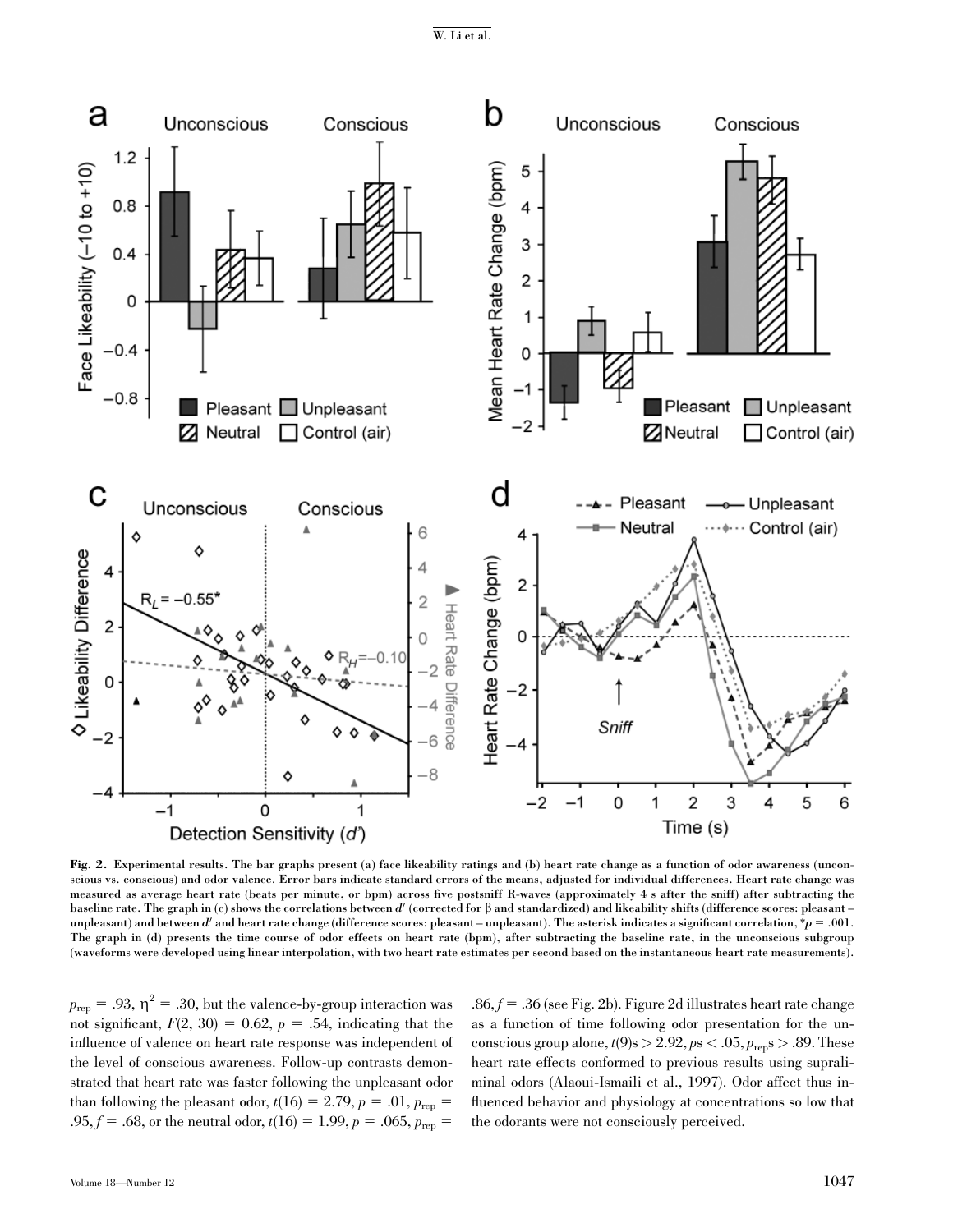W. Li et al.



Fig. 2. Experimental results. The bar graphs present (a) face likeability ratings and (b) heart rate change as a function of odor awareness (unconscious vs. conscious) and odor valence. Error bars indicate standard errors of the means, adjusted for individual differences. Heart rate change was measured as average heart rate (beats per minute, or bpm) across five postsniff R-waves (approximately 4 s after the sniff) after subtracting the baseline rate. The graph in (c) shows the correlations between  $d'$  (corrected for  $\beta$  and standardized) and likeability shifts (difference scores: pleasant – unpleasant) and between d' and heart rate change (difference scores: pleasant – unpleasant). The asterisk indicates a significant correlation,  $\ast p = .001$ . The graph in (d) presents the time course of odor effects on heart rate (bpm), after subtracting the baseline rate, in the unconscious subgroup (waveforms were developed using linear interpolation, with two heart rate estimates per second based on the instantaneous heart rate measurements).

 $p_{\text{rep}} = .93, \eta^2 = .30$ , but the valence-by-group interaction was not significant,  $F(2, 30) = 0.62$ ,  $p = .54$ , indicating that the influence of valence on heart rate response was independent of the level of conscious awareness. Follow-up contrasts demonstrated that heart rate was faster following the unpleasant odor than following the pleasant odor,  $t(16) = 2.79$ ,  $p = .01$ ,  $p_{rep} =$ .95,  $f = .68$ , or the neutral odor,  $t(16) = 1.99$ ,  $p = .065$ ,  $p_{\text{rep}} =$ 

.86,  $f = .36$  (see Fig. 2b). Figure 2d illustrates heart rate change as a function of time following odor presentation for the unconscious group alone,  $t(9)$ s > 2.92,  $ps < .05$ ,  $p_{rep}$ s > .89. These heart rate effects conformed to previous results using supraliminal odors (Alaoui-Ismaili et al., 1997). Odor affect thus influenced behavior and physiology at concentrations so low that the odorants were not consciously perceived.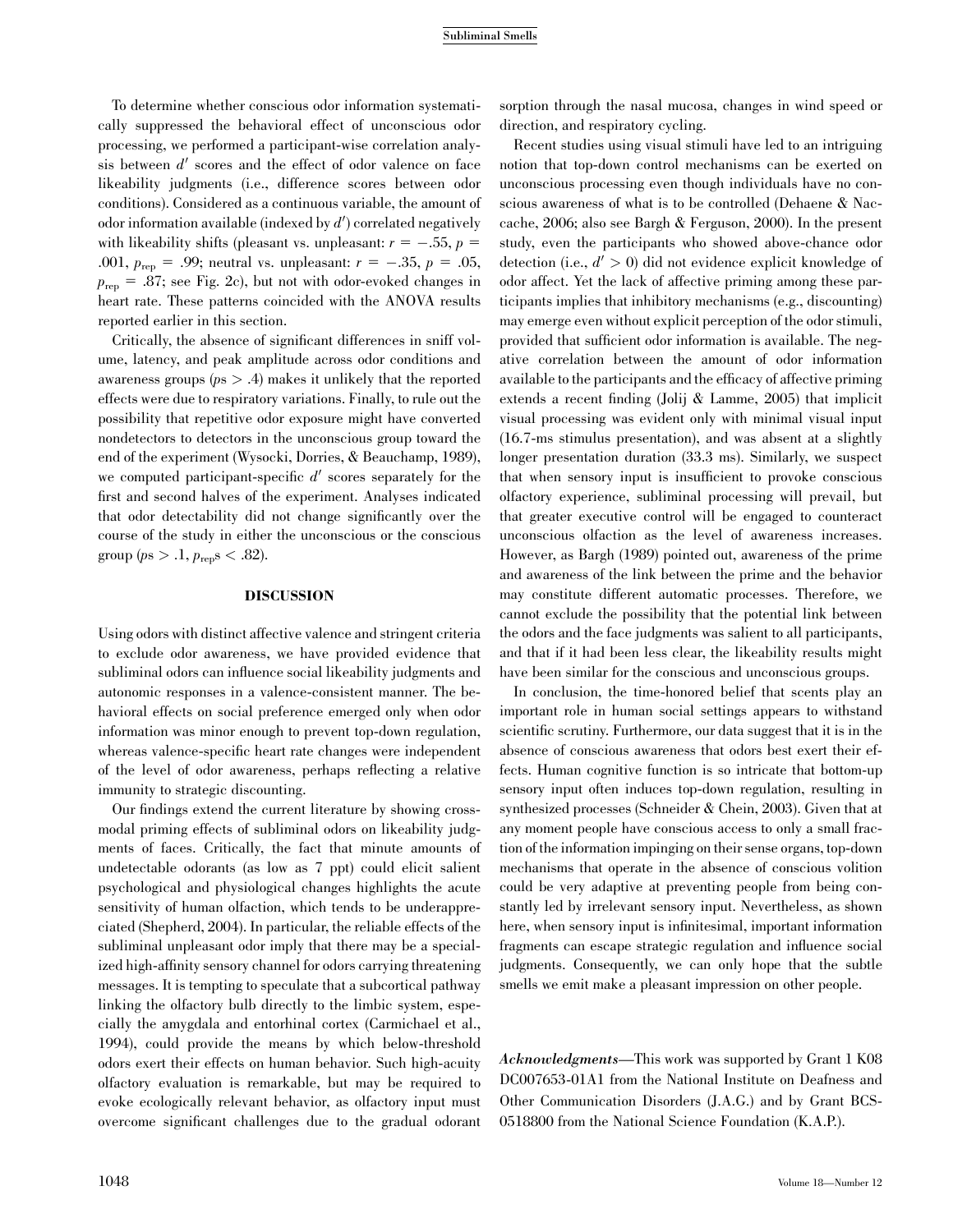To determine whether conscious odor information systematically suppressed the behavioral effect of unconscious odor processing, we performed a participant-wise correlation analysis between  $d'$  scores and the effect of odor valence on face likeability judgments (i.e., difference scores between odor conditions). Considered as a continuous variable, the amount of odor information available (indexed by  $d'$ ) correlated negatively with likeability shifts (pleasant vs. unpleasant:  $r = -.55$ ,  $p =$ .001,  $p_{\text{rep}} = .99$ ; neutral vs. unpleasant:  $r = -.35$ ,  $p = .05$ ,  $p_{\text{rep}} = .87$ ; see Fig. 2c), but not with odor-evoked changes in heart rate. These patterns coincided with the ANOVA results reported earlier in this section.

Critically, the absence of significant differences in sniff volume, latency, and peak amplitude across odor conditions and awareness groups ( $p_s > .4$ ) makes it unlikely that the reported effects were due to respiratory variations. Finally, to rule out the possibility that repetitive odor exposure might have converted nondetectors to detectors in the unconscious group toward the end of the experiment (Wysocki, Dorries, & Beauchamp, 1989), we computed participant-specific  $d'$  scores separately for the first and second halves of the experiment. Analyses indicated that odor detectability did not change significantly over the course of the study in either the unconscious or the conscious group ( $ps > .1, p_{rep} s < .82$ ).

# DISCUSSION

Using odors with distinct affective valence and stringent criteria to exclude odor awareness, we have provided evidence that subliminal odors can influence social likeability judgments and autonomic responses in a valence-consistent manner. The behavioral effects on social preference emerged only when odor information was minor enough to prevent top-down regulation, whereas valence-specific heart rate changes were independent of the level of odor awareness, perhaps reflecting a relative immunity to strategic discounting.

Our findings extend the current literature by showing crossmodal priming effects of subliminal odors on likeability judgments of faces. Critically, the fact that minute amounts of undetectable odorants (as low as 7 ppt) could elicit salient psychological and physiological changes highlights the acute sensitivity of human olfaction, which tends to be underappreciated (Shepherd, 2004). In particular, the reliable effects of the subliminal unpleasant odor imply that there may be a specialized high-affinity sensory channel for odors carrying threatening messages. It is tempting to speculate that a subcortical pathway linking the olfactory bulb directly to the limbic system, especially the amygdala and entorhinal cortex (Carmichael et al., 1994), could provide the means by which below-threshold odors exert their effects on human behavior. Such high-acuity olfactory evaluation is remarkable, but may be required to evoke ecologically relevant behavior, as olfactory input must overcome significant challenges due to the gradual odorant

sorption through the nasal mucosa, changes in wind speed or direction, and respiratory cycling.

Recent studies using visual stimuli have led to an intriguing notion that top-down control mechanisms can be exerted on unconscious processing even though individuals have no conscious awareness of what is to be controlled (Dehaene & Naccache, 2006; also see Bargh & Ferguson, 2000). In the present study, even the participants who showed above-chance odor detection (i.e.,  $d' > 0$ ) did not evidence explicit knowledge of odor affect. Yet the lack of affective priming among these participants implies that inhibitory mechanisms (e.g., discounting) may emerge even without explicit perception of the odor stimuli, provided that sufficient odor information is available. The negative correlation between the amount of odor information available to the participants and the efficacy of affective priming extends a recent finding (Jolij & Lamme, 2005) that implicit visual processing was evident only with minimal visual input (16.7-ms stimulus presentation), and was absent at a slightly longer presentation duration (33.3 ms). Similarly, we suspect that when sensory input is insufficient to provoke conscious olfactory experience, subliminal processing will prevail, but that greater executive control will be engaged to counteract unconscious olfaction as the level of awareness increases. However, as Bargh (1989) pointed out, awareness of the prime and awareness of the link between the prime and the behavior may constitute different automatic processes. Therefore, we cannot exclude the possibility that the potential link between the odors and the face judgments was salient to all participants, and that if it had been less clear, the likeability results might have been similar for the conscious and unconscious groups.

In conclusion, the time-honored belief that scents play an important role in human social settings appears to withstand scientific scrutiny. Furthermore, our data suggest that it is in the absence of conscious awareness that odors best exert their effects. Human cognitive function is so intricate that bottom-up sensory input often induces top-down regulation, resulting in synthesized processes (Schneider & Chein, 2003). Given that at any moment people have conscious access to only a small fraction of the information impinging on their sense organs, top-down mechanisms that operate in the absence of conscious volition could be very adaptive at preventing people from being constantly led by irrelevant sensory input. Nevertheless, as shown here, when sensory input is infinitesimal, important information fragments can escape strategic regulation and influence social judgments. Consequently, we can only hope that the subtle smells we emit make a pleasant impression on other people.

Acknowledgments—This work was supported by Grant 1 K08 DC007653-01A1 from the National Institute on Deafness and Other Communication Disorders (J.A.G.) and by Grant BCS-0518800 from the National Science Foundation (K.A.P.).